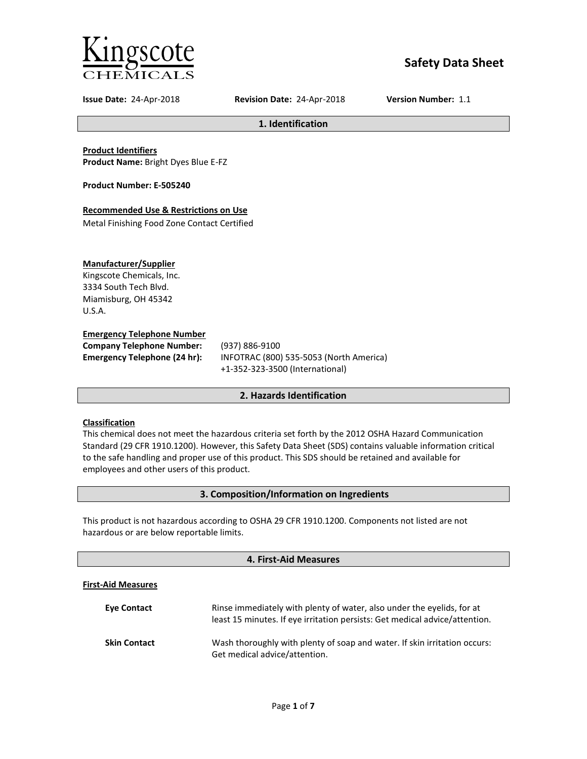

# **Safety Data Sheet**

**Issue Date:** 24-Apr-2018 **Revision Date:** 24-Apr-2018 **Version Number:** 1.1

**1. Identification**

**Product Identifiers Product Name:** Bright Dyes Blue E-FZ

**Product Number: E-505240**

## **Recommended Use & Restrictions on Use**

Metal Finishing Food Zone Contact Certified

### **Manufacturer/Supplier**

Kingscote Chemicals, Inc. 3334 South Tech Blvd. Miamisburg, OH 45342 U.S.A.

### **Emergency Telephone Number**

**Company Telephone Number:** (937) 886-9100

**Emergency Telephone (24 hr):** INFOTRAC (800) 535-5053 (North America) +1-352-323-3500 (International)

## **2. Hazards Identification**

### **Classification**

This chemical does not meet the hazardous criteria set forth by the 2012 OSHA Hazard Communication Standard (29 CFR 1910.1200). However, this Safety Data Sheet (SDS) contains valuable information critical to the safe handling and proper use of this product. This SDS should be retained and available for employees and other users of this product.

## **3. Composition/Information on Ingredients**

This product is not hazardous according to OSHA 29 CFR 1910.1200. Components not listed are not hazardous or are below reportable limits.

## **4. First-Aid Measures**

#### **First-Aid Measures**

| <b>Eve Contact</b>  | Rinse immediately with plenty of water, also under the eyelids, for at<br>least 15 minutes. If eye irritation persists: Get medical advice/attention. |
|---------------------|-------------------------------------------------------------------------------------------------------------------------------------------------------|
| <b>Skin Contact</b> | Wash thoroughly with plenty of soap and water. If skin irritation occurs:<br>Get medical advice/attention.                                            |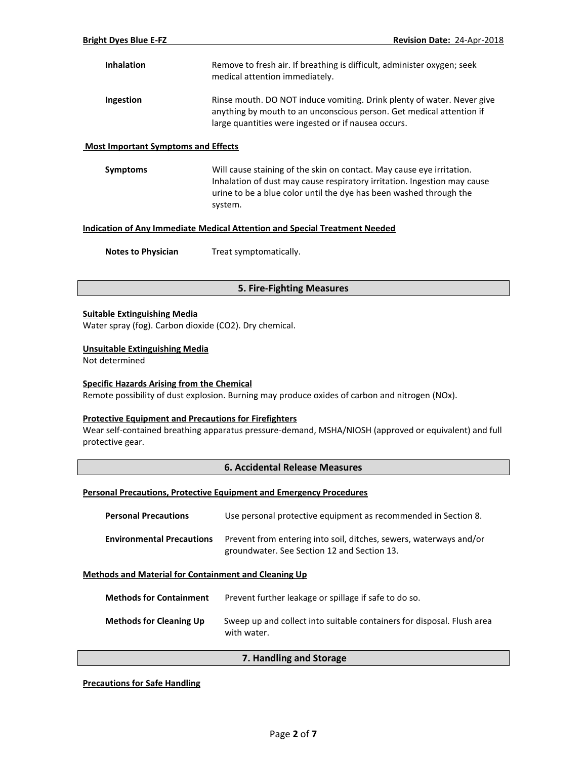| <b>Inhalation</b> | Remove to fresh air. If breathing is difficult, administer oxygen; seek<br>medical attention immediately.                                                                                             |
|-------------------|-------------------------------------------------------------------------------------------------------------------------------------------------------------------------------------------------------|
| Ingestion         | Rinse mouth. DO NOT induce vomiting. Drink plenty of water. Never give<br>anything by mouth to an unconscious person. Get medical attention if<br>large quantities were ingested or if nausea occurs. |

#### **Most Important Symptoms and Effects**

**Symptoms** Will cause staining of the skin on contact. May cause eye irritation. Inhalation of dust may cause respiratory irritation. Ingestion may cause urine to be a blue color until the dye has been washed through the system.

## **Indication of Any Immediate Medical Attention and Special Treatment Needed**

**Notes to Physician** Treat symptomatically.

## **5. Fire-Fighting Measures**

#### **Suitable Extinguishing Media**

Water spray (fog). Carbon dioxide (CO2). Dry chemical.

#### **Unsuitable Extinguishing Media**

Not determined

#### **Specific Hazards Arising from the Chemical**

Remote possibility of dust explosion. Burning may produce oxides of carbon and nitrogen (NOx).

#### **Protective Equipment and Precautions for Firefighters**

Wear self-contained breathing apparatus pressure-demand, MSHA/NIOSH (approved or equivalent) and full protective gear.

#### **6. Accidental Release Measures**

#### **Personal Precautions, Protective Equipment and Emergency Procedures**

| <b>Personal Precautions</b>      | Use personal protective equipment as recommended in Section 8.                                                    |
|----------------------------------|-------------------------------------------------------------------------------------------------------------------|
| <b>Environmental Precautions</b> | Prevent from entering into soil, ditches, sewers, waterways and/or<br>groundwater. See Section 12 and Section 13. |

#### **Methods and Material for Containment and Cleaning Up**

| <b>Methods for Containment</b> | Prevent further leakage or spillage if safe to do so.                                 |
|--------------------------------|---------------------------------------------------------------------------------------|
| <b>Methods for Cleaning Up</b> | Sweep up and collect into suitable containers for disposal. Flush area<br>with water. |

### **7. Handling and Storage**

**Precautions for Safe Handling**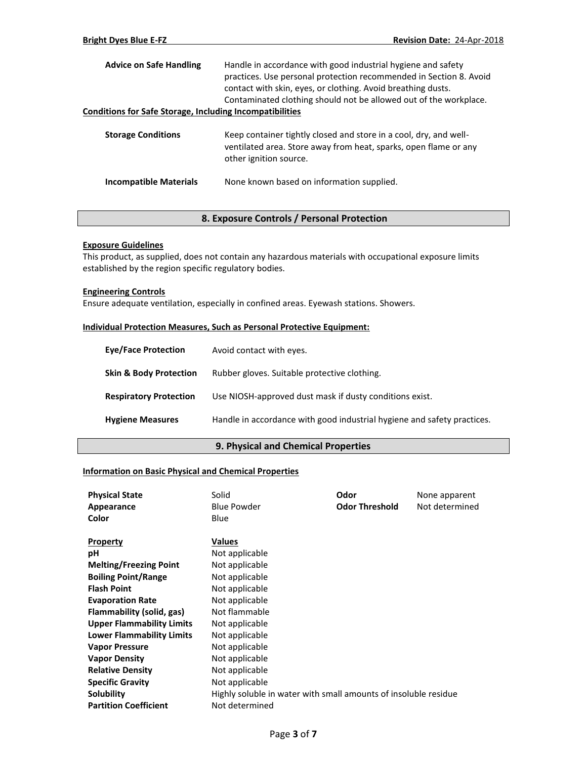| <b>Advice on Safe Handling</b>                                  | Handle in accordance with good industrial hygiene and safety<br>practices. Use personal protection recommended in Section 8. Avoid<br>contact with skin, eyes, or clothing. Avoid breathing dusts.<br>Contaminated clothing should not be allowed out of the workplace. |
|-----------------------------------------------------------------|-------------------------------------------------------------------------------------------------------------------------------------------------------------------------------------------------------------------------------------------------------------------------|
| <b>Conditions for Safe Storage, Including Incompatibilities</b> |                                                                                                                                                                                                                                                                         |
| <b>Storage Conditions</b>                                       | Keep container tightly closed and store in a cool, dry, and well-<br>ventilated area. Store away from heat, sparks, open flame or any<br>other ignition source.                                                                                                         |
| <b>Incompatible Materials</b>                                   | None known based on information supplied.                                                                                                                                                                                                                               |

## **8. Exposure Controls / Personal Protection**

## **Exposure Guidelines**

This product, as supplied, does not contain any hazardous materials with occupational exposure limits established by the region specific regulatory bodies.

### **Engineering Controls**

Ensure adequate ventilation, especially in confined areas. Eyewash stations. Showers.

## **Individual Protection Measures, Such as Personal Protective Equipment:**

| <b>Eve/Face Protection</b>        | Avoid contact with eyes.                                                |
|-----------------------------------|-------------------------------------------------------------------------|
| <b>Skin &amp; Body Protection</b> | Rubber gloves. Suitable protective clothing.                            |
| <b>Respiratory Protection</b>     | Use NIOSH-approved dust mask if dusty conditions exist.                 |
| <b>Hygiene Measures</b>           | Handle in accordance with good industrial hygiene and safety practices. |

### **9. Physical and Chemical Properties**

## **Information on Basic Physical and Chemical Properties**

| <b>Physical State</b>            | Solid                                                           | Odor                  | None apparent  |
|----------------------------------|-----------------------------------------------------------------|-----------------------|----------------|
| Appearance                       | <b>Blue Powder</b>                                              | <b>Odor Threshold</b> | Not determined |
| Color                            | Blue                                                            |                       |                |
|                                  |                                                                 |                       |                |
| Property                         | Values                                                          |                       |                |
| pH                               | Not applicable                                                  |                       |                |
| <b>Melting/Freezing Point</b>    | Not applicable                                                  |                       |                |
| <b>Boiling Point/Range</b>       | Not applicable                                                  |                       |                |
| <b>Flash Point</b>               | Not applicable                                                  |                       |                |
| <b>Evaporation Rate</b>          | Not applicable                                                  |                       |                |
| Flammability (solid, gas)        | Not flammable                                                   |                       |                |
| <b>Upper Flammability Limits</b> | Not applicable                                                  |                       |                |
| <b>Lower Flammability Limits</b> | Not applicable                                                  |                       |                |
| <b>Vapor Pressure</b>            | Not applicable                                                  |                       |                |
| <b>Vapor Density</b>             | Not applicable                                                  |                       |                |
| <b>Relative Density</b>          | Not applicable                                                  |                       |                |
| <b>Specific Gravity</b>          | Not applicable                                                  |                       |                |
| Solubility                       | Highly soluble in water with small amounts of insoluble residue |                       |                |
| <b>Partition Coefficient</b>     | Not determined                                                  |                       |                |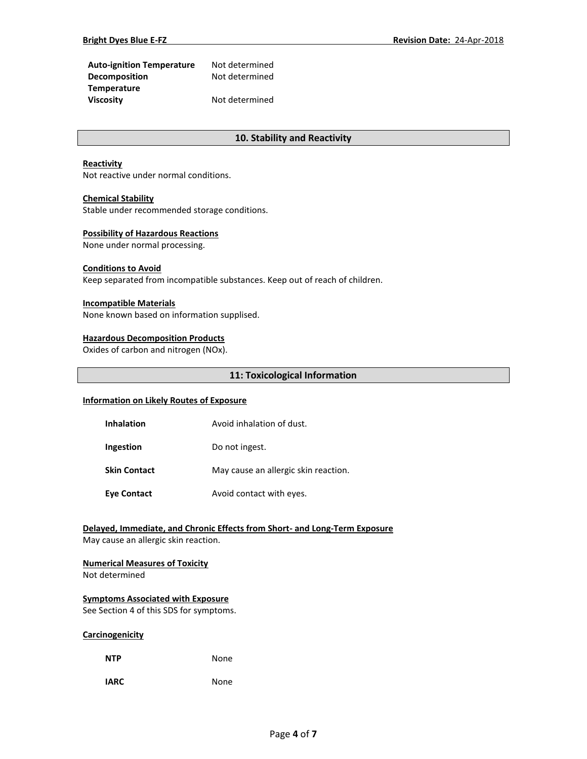| <b>Auto-ignition Temperature</b> | Not determined |
|----------------------------------|----------------|
| <b>Decomposition</b>             | Not determined |
| <b>Temperature</b>               |                |
| <b>Viscosity</b>                 | Not determined |

## **10. Stability and Reactivity**

#### **Reactivity**

Not reactive under normal conditions.

#### **Chemical Stability**

Stable under recommended storage conditions.

#### **Possibility of Hazardous Reactions**

None under normal processing.

## **Conditions to Avoid**

Keep separated from incompatible substances. Keep out of reach of children.

#### **Incompatible Materials**

None known based on information supplised.

#### **Hazardous Decomposition Products**

Oxides of carbon and nitrogen (NOx).

#### **11: Toxicological Information**

### **Information on Likely Routes of Exposure**

| <b>Inhalation</b>   | Avoid inhalation of dust.            |
|---------------------|--------------------------------------|
| Ingestion           | Do not ingest.                       |
| <b>Skin Contact</b> | May cause an allergic skin reaction. |
| <b>Eye Contact</b>  | Avoid contact with eyes.             |

## **Delayed, Immediate, and Chronic Effects from Short- and Long-Term Exposure**

May cause an allergic skin reaction.

#### **Numerical Measures of Toxicity**

Not determined

#### **Symptoms Associated with Exposure**

See Section 4 of this SDS for symptoms.

#### **Carcinogenicity**

| <b>NTP</b> | None |
|------------|------|
|            |      |

**IARC** None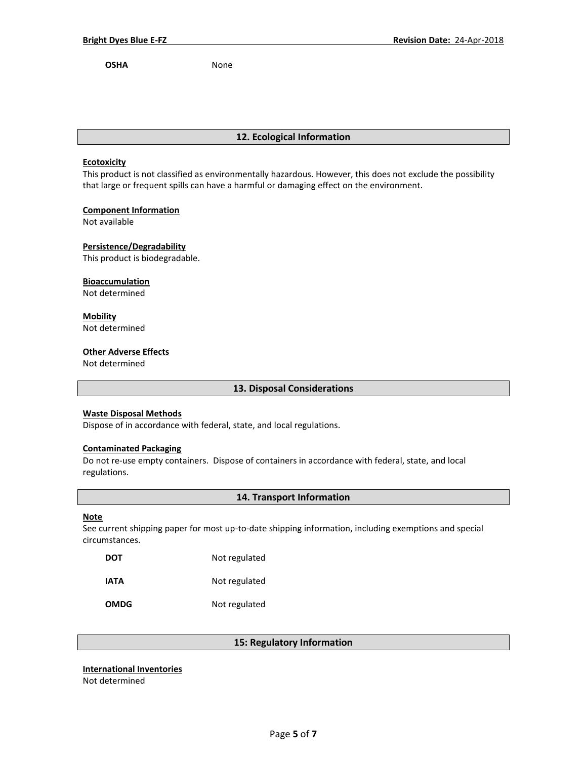**OSHA** None

## **12. Ecological Information**

#### **Ecotoxicity**

This product is not classified as environmentally hazardous. However, this does not exclude the possibility that large or frequent spills can have a harmful or damaging effect on the environment.

## **Component Information**

Not available

**Persistence/Degradability**

This product is biodegradable.

### **Bioaccumulation**

Not determined

## **Mobility**

Not determined

## **Other Adverse Effects**

Not determined

## **13. Disposal Considerations**

## **Waste Disposal Methods**

Dispose of in accordance with federal, state, and local regulations.

#### **Contaminated Packaging**

Do not re-use empty containers.Dispose of containers in accordance with federal, state, and local regulations.

## **14. Transport Information**

#### **Note**

See current shipping paper for most up-to-date shipping information, including exemptions and special circumstances.

| <b>DOT</b>  | Not regulated |
|-------------|---------------|
| IATA        | Not regulated |
| <b>OMDG</b> | Not regulated |

## **15: Regulatory Information**

### **International Inventories**

Not determined